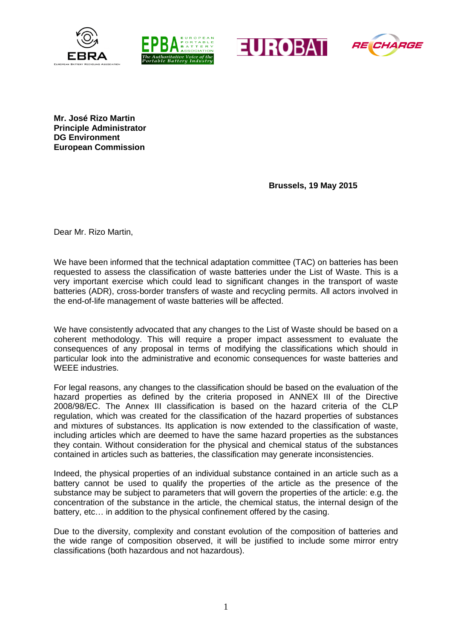







**Mr. José Rizo Martin Principle Administrator DG Environment European Commission**

**Brussels, 19 May 2015**

Dear Mr. Rizo Martin,

We have been informed that the technical adaptation committee (TAC) on batteries has been requested to assess the classification of waste batteries under the List of Waste. This is a very important exercise which could lead to significant changes in the transport of waste batteries (ADR), cross-border transfers of waste and recycling permits. All actors involved in the end-of-life management of waste batteries will be affected.

We have consistently advocated that any changes to the List of Waste should be based on a coherent methodology. This will require a proper impact assessment to evaluate the consequences of any proposal in terms of modifying the classifications which should in particular look into the administrative and economic consequences for waste batteries and WEEE industries.

For legal reasons, any changes to the classification should be based on the evaluation of the hazard properties as defined by the criteria proposed in ANNEX III of the Directive 2008/98/EC. The Annex III classification is based on the hazard criteria of the CLP regulation, which was created for the classification of the hazard properties of substances and mixtures of substances. Its application is now extended to the classification of waste, including articles which are deemed to have the same hazard properties as the substances they contain. Without consideration for the physical and chemical status of the substances contained in articles such as batteries, the classification may generate inconsistencies.

Indeed, the physical properties of an individual substance contained in an article such as a battery cannot be used to qualify the properties of the article as the presence of the substance may be subject to parameters that will govern the properties of the article: e.g. the concentration of the substance in the article, the chemical status, the internal design of the battery, etc… in addition to the physical confinement offered by the casing.

Due to the diversity, complexity and constant evolution of the composition of batteries and the wide range of composition observed, it will be justified to include some mirror entry classifications (both hazardous and not hazardous).